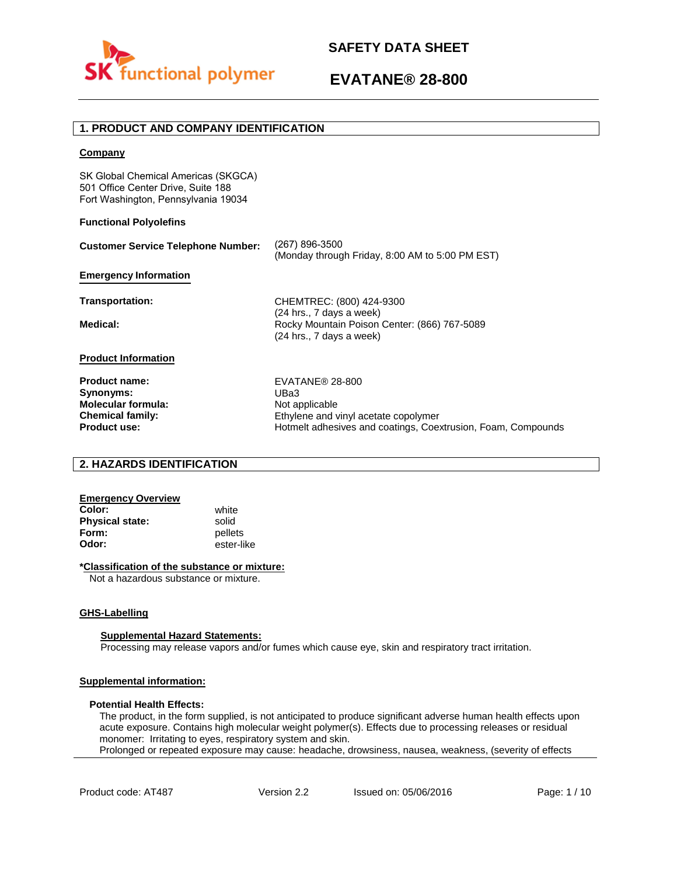

# **1. PRODUCT AND COMPANY IDENTIFICATION**

### **Company**

SK Global Chemical Americas (SKGCA) 501 Office Center Drive, Suite 188 Fort Washington, Pennsylvania 19034

### **Functional Polyolefins**

| <b>Customer Service Telephone Number:</b> | (267) 896-3500<br>(Monday through Friday, 8:00 AM to 5:00 PM EST)                                      |
|-------------------------------------------|--------------------------------------------------------------------------------------------------------|
| <b>Emergency Information</b>              |                                                                                                        |
| Transportation:                           | CHEMTREC: (800) 424-9300                                                                               |
| Medical:                                  | $(24$ hrs., 7 days a week)<br>Rocky Mountain Poison Center: (866) 767-5089<br>(24 hrs., 7 days a week) |
| <b>Product Information</b>                |                                                                                                        |
| <b>Product name:</b>                      | EVATANE® 28-800                                                                                        |
| Synonyms:                                 | UBa3                                                                                                   |
| <b>Molecular formula:</b>                 | Not applicable                                                                                         |
| <b>Chemical family:</b>                   | Ethylene and vinyl acetate copolymer                                                                   |
| <b>Product use:</b>                       | Hotmelt adhesives and coatings. Coextrusion. Foam. Compounds                                           |

## **2. HAZARDS IDENTIFICATION**

#### **Emergency Overview Color:** white

**Physical state:** solid<br> **Form:** nellet **Form:** pellets<br> **Odor:** ester-li

**Odor:** ester-like

### **\*Classification of the substance or mixture:**

Not a hazardous substance or mixture.

### **GHS-Labelling**

### **Supplemental Hazard Statements:**

Processing may release vapors and/or fumes which cause eye, skin and respiratory tract irritation.

## **Supplemental information:**

### **Potential Health Effects:**

The product, in the form supplied, is not anticipated to produce significant adverse human health effects upon acute exposure. Contains high molecular weight polymer(s). Effects due to processing releases or residual monomer: Irritating to eyes, respiratory system and skin. Prolonged or repeated exposure may cause: headache, drowsiness, nausea, weakness, (severity of effects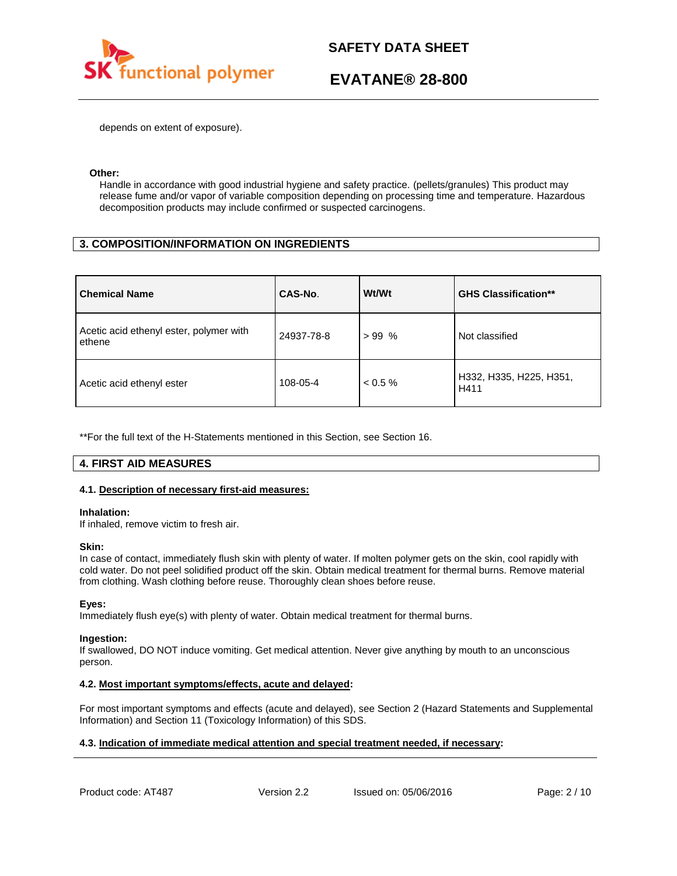

depends on extent of exposure).

### **Other:**

Handle in accordance with good industrial hygiene and safety practice. (pellets/granules) This product may release fume and/or vapor of variable composition depending on processing time and temperature. Hazardous decomposition products may include confirmed or suspected carcinogens.

## **3. COMPOSITION/INFORMATION ON INGREDIENTS**

| <b>Chemical Name</b>                              | CAS-No.    | Wt/Wt      | <b>GHS Classification**</b>     |
|---------------------------------------------------|------------|------------|---------------------------------|
| Acetic acid ethenyl ester, polymer with<br>ethene | 24937-78-8 | $>99\%$    | Not classified                  |
| Acetic acid ethenyl ester                         | 108-05-4   | $< 0.5 \%$ | H332, H335, H225, H351,<br>H411 |

\*\*For the full text of the H-Statements mentioned in this Section, see Section 16.

## **4. FIRST AID MEASURES**

### **4.1. Description of necessary first-aid measures:**

### **Inhalation:**

If inhaled, remove victim to fresh air.

### **Skin:**

In case of contact, immediately flush skin with plenty of water. If molten polymer gets on the skin, cool rapidly with cold water. Do not peel solidified product off the skin. Obtain medical treatment for thermal burns. Remove material from clothing. Wash clothing before reuse. Thoroughly clean shoes before reuse.

### **Eyes:**

Immediately flush eye(s) with plenty of water. Obtain medical treatment for thermal burns.

### **Ingestion:**

If swallowed, DO NOT induce vomiting. Get medical attention. Never give anything by mouth to an unconscious person.

### **4.2. Most important symptoms/effects, acute and delayed:**

For most important symptoms and effects (acute and delayed), see Section 2 (Hazard Statements and Supplemental Information) and Section 11 (Toxicology Information) of this SDS.

### **4.3. Indication of immediate medical attention and special treatment needed, if necessary:**

Product code: AT487 Version 2.2 Issued on: 05/06/2016 Page: 2/10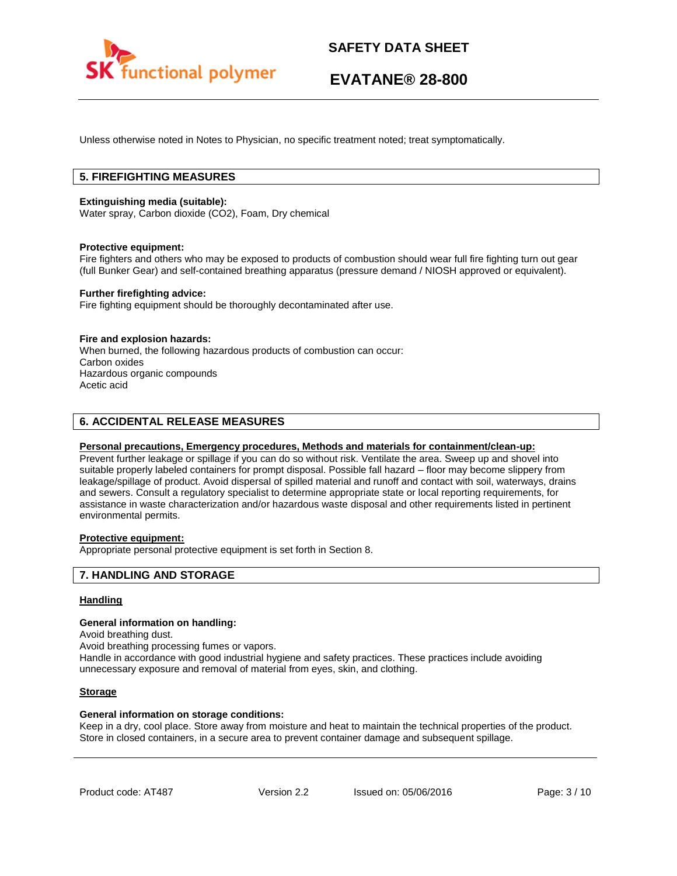

Unless otherwise noted in Notes to Physician, no specific treatment noted; treat symptomatically.

# **5. FIREFIGHTING MEASURES**

### **Extinguishing media (suitable):**

Water spray, Carbon dioxide (CO2), Foam, Dry chemical

### **Protective equipment:**

Fire fighters and others who may be exposed to products of combustion should wear full fire fighting turn out gear (full Bunker Gear) and self-contained breathing apparatus (pressure demand / NIOSH approved or equivalent).

### **Further firefighting advice:**

Fire fighting equipment should be thoroughly decontaminated after use.

### **Fire and explosion hazards:**

When burned, the following hazardous products of combustion can occur: Carbon oxides Hazardous organic compounds Acetic acid

## **6. ACCIDENTAL RELEASE MEASURES**

### **Personal precautions, Emergency procedures, Methods and materials for containment/clean-up:**

Prevent further leakage or spillage if you can do so without risk. Ventilate the area. Sweep up and shovel into suitable properly labeled containers for prompt disposal. Possible fall hazard – floor may become slippery from leakage/spillage of product. Avoid dispersal of spilled material and runoff and contact with soil, waterways, drains and sewers. Consult a regulatory specialist to determine appropriate state or local reporting requirements, for assistance in waste characterization and/or hazardous waste disposal and other requirements listed in pertinent environmental permits.

### **Protective equipment:**

Appropriate personal protective equipment is set forth in Section 8.

### **7. HANDLING AND STORAGE**

### **Handling**

### **General information on handling:**

Avoid breathing dust.

Avoid breathing processing fumes or vapors.

Handle in accordance with good industrial hygiene and safety practices. These practices include avoiding unnecessary exposure and removal of material from eyes, skin, and clothing.

### **Storage**

### **General information on storage conditions:**

Keep in a dry, cool place. Store away from moisture and heat to maintain the technical properties of the product. Store in closed containers, in a secure area to prevent container damage and subsequent spillage.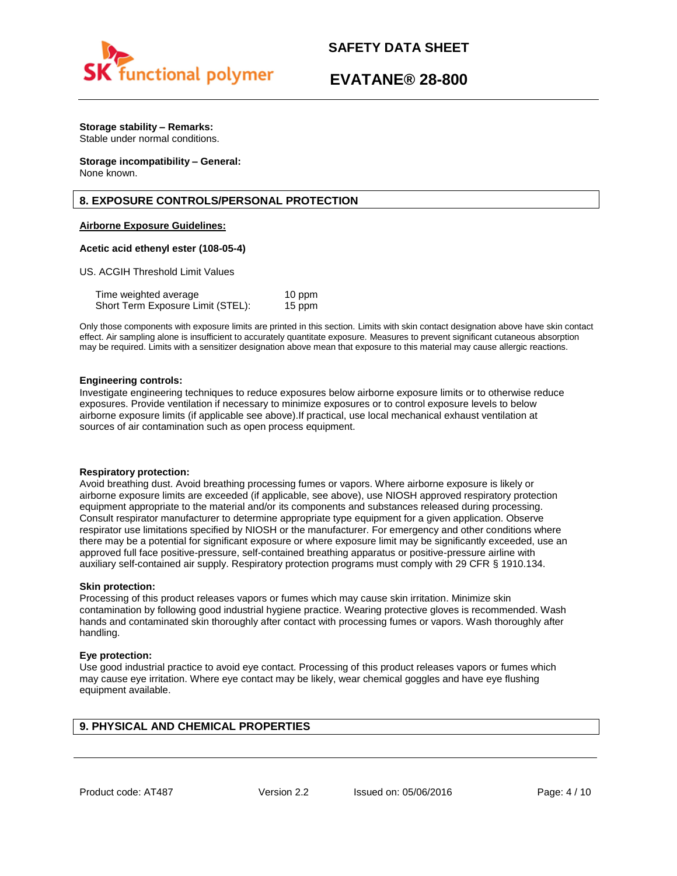

# **EVATANE® 28-800**

# **Storage stability – Remarks:**

Stable under normal conditions.

#### **Storage incompatibility – General:**  None known.

# **8. EXPOSURE CONTROLS/PERSONAL PROTECTION**

### **Airborne Exposure Guidelines:**

### **Acetic acid ethenyl ester (108-05-4)**

US. ACGIH Threshold Limit Values

| Time weighted average             | 10 ppm |
|-----------------------------------|--------|
| Short Term Exposure Limit (STEL): | 15 ppm |

Only those components with exposure limits are printed in this section. Limits with skin contact designation above have skin contact effect. Air sampling alone is insufficient to accurately quantitate exposure. Measures to prevent significant cutaneous absorption may be required. Limits with a sensitizer designation above mean that exposure to this material may cause allergic reactions.

### **Engineering controls:**

Investigate engineering techniques to reduce exposures below airborne exposure limits or to otherwise reduce exposures. Provide ventilation if necessary to minimize exposures or to control exposure levels to below airborne exposure limits (if applicable see above).If practical, use local mechanical exhaust ventilation at sources of air contamination such as open process equipment.

### **Respiratory protection:**

Avoid breathing dust. Avoid breathing processing fumes or vapors. Where airborne exposure is likely or airborne exposure limits are exceeded (if applicable, see above), use NIOSH approved respiratory protection equipment appropriate to the material and/or its components and substances released during processing. Consult respirator manufacturer to determine appropriate type equipment for a given application. Observe respirator use limitations specified by NIOSH or the manufacturer. For emergency and other conditions where there may be a potential for significant exposure or where exposure limit may be significantly exceeded, use an approved full face positive-pressure, self-contained breathing apparatus or positive-pressure airline with auxiliary self-contained air supply. Respiratory protection programs must comply with 29 CFR § 1910.134.

### **Skin protection:**

Processing of this product releases vapors or fumes which may cause skin irritation. Minimize skin contamination by following good industrial hygiene practice. Wearing protective gloves is recommended. Wash hands and contaminated skin thoroughly after contact with processing fumes or vapors. Wash thoroughly after handling.

### **Eye protection:**

Use good industrial practice to avoid eye contact. Processing of this product releases vapors or fumes which may cause eye irritation. Where eye contact may be likely, wear chemical goggles and have eye flushing equipment available.

## **9. PHYSICAL AND CHEMICAL PROPERTIES**

Product code: AT487 Version 2.2 Issued on: 05/06/2016 Page: 4/10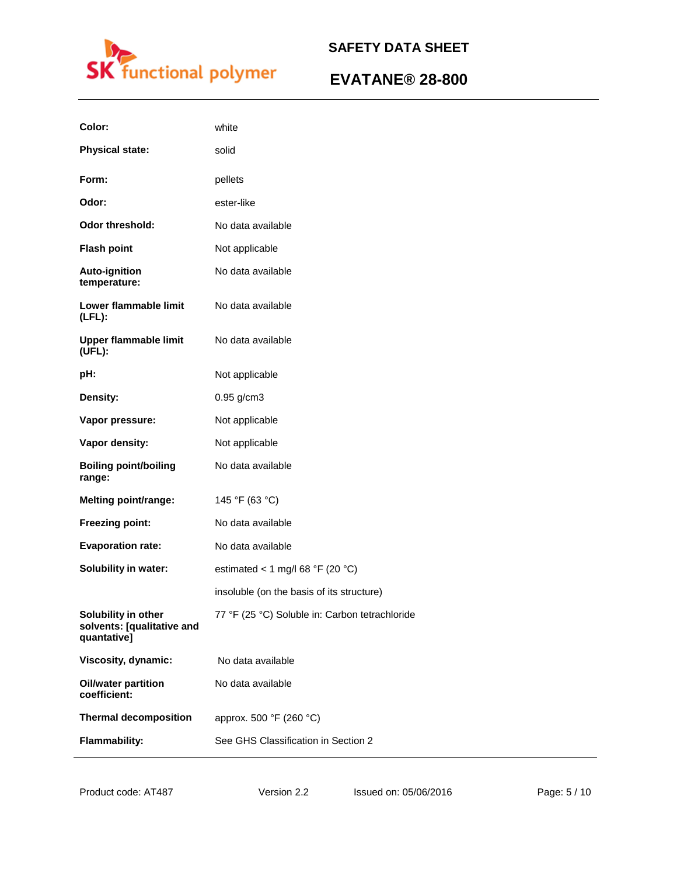

| Color:                                                           | white                                          |
|------------------------------------------------------------------|------------------------------------------------|
| <b>Physical state:</b>                                           | solid                                          |
| Form:                                                            | pellets                                        |
| Odor:                                                            | ester-like                                     |
| <b>Odor threshold:</b>                                           | No data available                              |
| <b>Flash point</b>                                               | Not applicable                                 |
| <b>Auto-ignition</b><br>temperature:                             | No data available                              |
| Lower flammable limit<br>$(LFL)$ :                               | No data available                              |
| <b>Upper flammable limit</b><br>(UEL):                           | No data available                              |
| pH:                                                              | Not applicable                                 |
| Density:                                                         | $0.95$ g/cm3                                   |
| Vapor pressure:                                                  | Not applicable                                 |
| Vapor density:                                                   | Not applicable                                 |
| <b>Boiling point/boiling</b><br>range:                           | No data available                              |
| <b>Melting point/range:</b>                                      | 145 °F (63 °C)                                 |
| Freezing point:                                                  | No data available                              |
| <b>Evaporation rate:</b>                                         | No data available                              |
| Solubility in water:                                             | estimated < 1 mg/l 68 °F (20 °C)               |
|                                                                  | insoluble (on the basis of its structure)      |
| Solubility in other<br>solvents: [qualitative and<br>quantative] | 77 °F (25 °C) Soluble in: Carbon tetrachloride |
| Viscosity, dynamic:                                              | No data available                              |
| <b>Oil/water partition</b><br>coefficient:                       | No data available                              |
| <b>Thermal decomposition</b>                                     | approx. 500 °F (260 °C)                        |
| <b>Flammability:</b>                                             | See GHS Classification in Section 2            |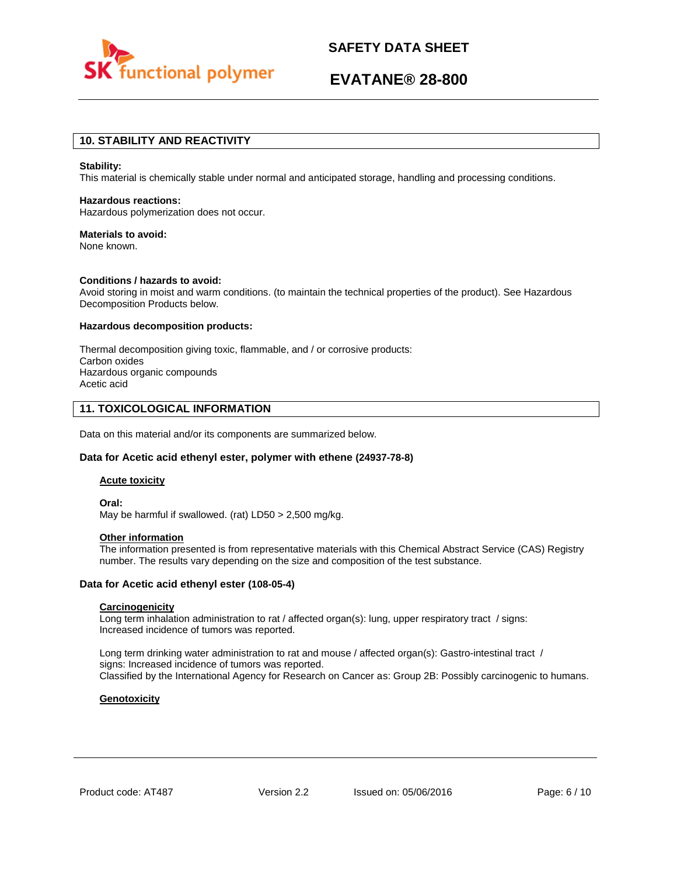

# **EVATANE® 28-800**

## **10. STABILITY AND REACTIVITY**

#### **Stability:**

This material is chemically stable under normal and anticipated storage, handling and processing conditions.

### **Hazardous reactions:**

Hazardous polymerization does not occur.

### **Materials to avoid:**

None known.

### **Conditions / hazards to avoid:**

Avoid storing in moist and warm conditions. (to maintain the technical properties of the product). See Hazardous Decomposition Products below.

### **Hazardous decomposition products:**

Thermal decomposition giving toxic, flammable, and / or corrosive products: Carbon oxides Hazardous organic compounds Acetic acid

## **11. TOXICOLOGICAL INFORMATION**

Data on this material and/or its components are summarized below.

### **Data for Acetic acid ethenyl ester, polymer with ethene (24937-78-8)**

### **Acute toxicity**

**Oral:** May be harmful if swallowed. (rat) LD50 > 2,500 mg/kg.

#### **Other information**

The information presented is from representative materials with this Chemical Abstract Service (CAS) Registry number. The results vary depending on the size and composition of the test substance.

### **Data for Acetic acid ethenyl ester (108-05-4)**

### **Carcinogenicity**

Long term inhalation administration to rat / affected organ(s): lung, upper respiratory tract / signs: Increased incidence of tumors was reported.

Long term drinking water administration to rat and mouse / affected organ(s): Gastro-intestinal tract / signs: Increased incidence of tumors was reported. Classified by the International Agency for Research on Cancer as: Group 2B: Possibly carcinogenic to humans.

### **Genotoxicity**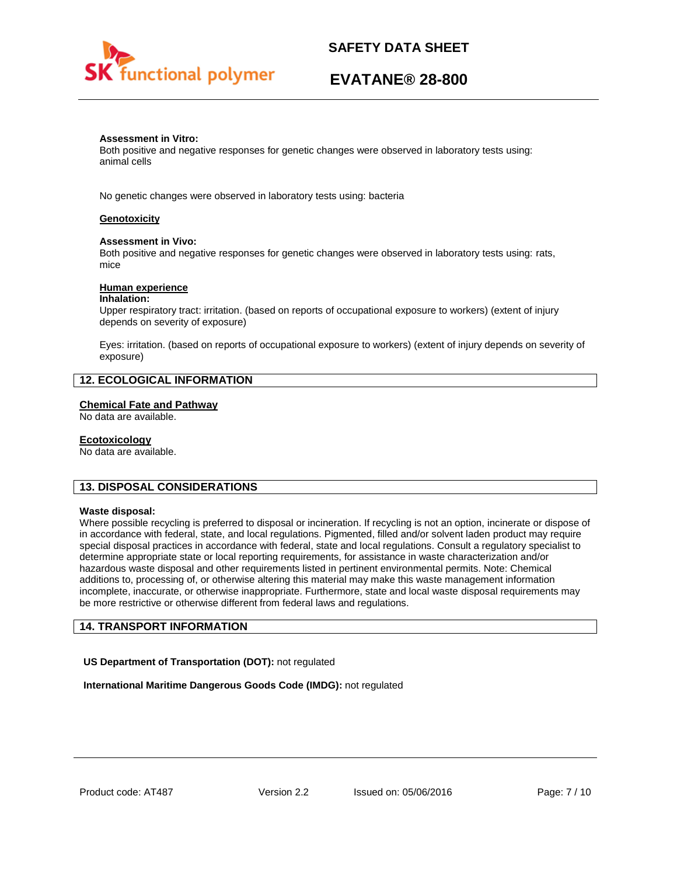

# **EVATANE® 28-800**

### **Assessment in Vitro:**

Both positive and negative responses for genetic changes were observed in laboratory tests using: animal cells

No genetic changes were observed in laboratory tests using: bacteria

### **Genotoxicity**

### **Assessment in Vivo:**

Both positive and negative responses for genetic changes were observed in laboratory tests using: rats, mice

### **Human experience**

#### **Inhalation:**

Upper respiratory tract: irritation. (based on reports of occupational exposure to workers) (extent of injury depends on severity of exposure)

Eyes: irritation. (based on reports of occupational exposure to workers) (extent of injury depends on severity of exposure)

## **12. ECOLOGICAL INFORMATION**

### **Chemical Fate and Pathway**

No data are available.

#### **Ecotoxicology**

No data are available.

### **13. DISPOSAL CONSIDERATIONS**

#### **Waste disposal:**

Where possible recycling is preferred to disposal or incineration. If recycling is not an option, incinerate or dispose of in accordance with federal, state, and local regulations. Pigmented, filled and/or solvent laden product may require special disposal practices in accordance with federal, state and local regulations. Consult a regulatory specialist to determine appropriate state or local reporting requirements, for assistance in waste characterization and/or hazardous waste disposal and other requirements listed in pertinent environmental permits. Note: Chemical additions to, processing of, or otherwise altering this material may make this waste management information incomplete, inaccurate, or otherwise inappropriate. Furthermore, state and local waste disposal requirements may be more restrictive or otherwise different from federal laws and regulations.

### **14. TRANSPORT INFORMATION**

**US Department of Transportation (DOT):** not regulated

**International Maritime Dangerous Goods Code (IMDG):** not regulated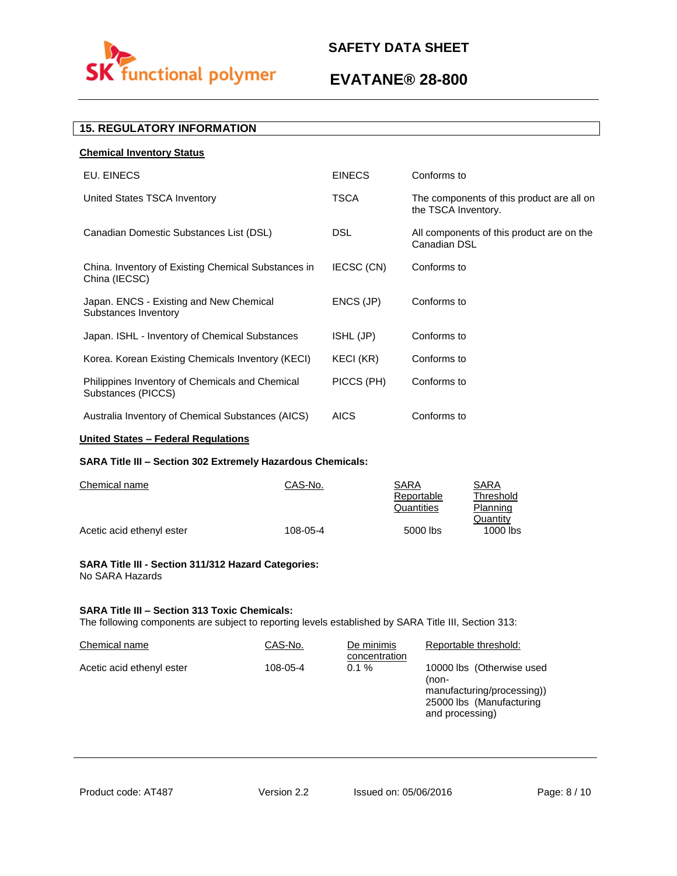

# **EVATANE® 28-800**

# **15. REGULATORY INFORMATION**

| <b>Chemical Inventory Status</b>                                      |               |                                                                  |
|-----------------------------------------------------------------------|---------------|------------------------------------------------------------------|
| EU. EINECS                                                            | <b>EINECS</b> | Conforms to                                                      |
| United States TSCA Inventory                                          | <b>TSCA</b>   | The components of this product are all on<br>the TSCA Inventory. |
| Canadian Domestic Substances List (DSL)                               | <b>DSL</b>    | All components of this product are on the<br>Canadian DSL        |
| China. Inventory of Existing Chemical Substances in<br>China (IECSC)  | IECSC (CN)    | Conforms to                                                      |
| Japan. ENCS - Existing and New Chemical<br>Substances Inventory       | ENCS (JP)     | Conforms to                                                      |
| Japan. ISHL - Inventory of Chemical Substances                        | ISHL (JP)     | Conforms to                                                      |
| Korea. Korean Existing Chemicals Inventory (KECI)                     | KECI (KR)     | Conforms to                                                      |
| Philippines Inventory of Chemicals and Chemical<br>Substances (PICCS) | PICCS (PH)    | Conforms to                                                      |
| Australia Inventory of Chemical Substances (AICS)                     | <b>AICS</b>   | Conforms to                                                      |
|                                                                       |               |                                                                  |

# **United States – Federal Regulations**

### **SARA Title III – Section 302 Extremely Hazardous Chemicals:**

| Chemical name             | CAS-No.  | SARA       | SARA       |
|---------------------------|----------|------------|------------|
|                           |          | Reportable | Threshold  |
|                           |          | Quantities | Planning   |
|                           |          |            | Quantity   |
| Acetic acid ethenyl ester | 108-05-4 | 5000 lbs   | $1000$ lbs |

### **SARA Title III - Section 311/312 Hazard Categories:**  No SARA Hazards

### **SARA Title III – Section 313 Toxic Chemicals:**

The following components are subject to reporting levels established by SARA Title III, Section 313:

| Chemical name             | CAS-No.  | De minimis<br>concentration | Reportable threshold:                                                                                           |
|---------------------------|----------|-----------------------------|-----------------------------------------------------------------------------------------------------------------|
| Acetic acid ethenyl ester | 108-05-4 | $0.1 \%$                    | 10000 lbs (Otherwise used<br>(non-<br>manufacturing/processing))<br>25000 lbs (Manufacturing<br>and processing) |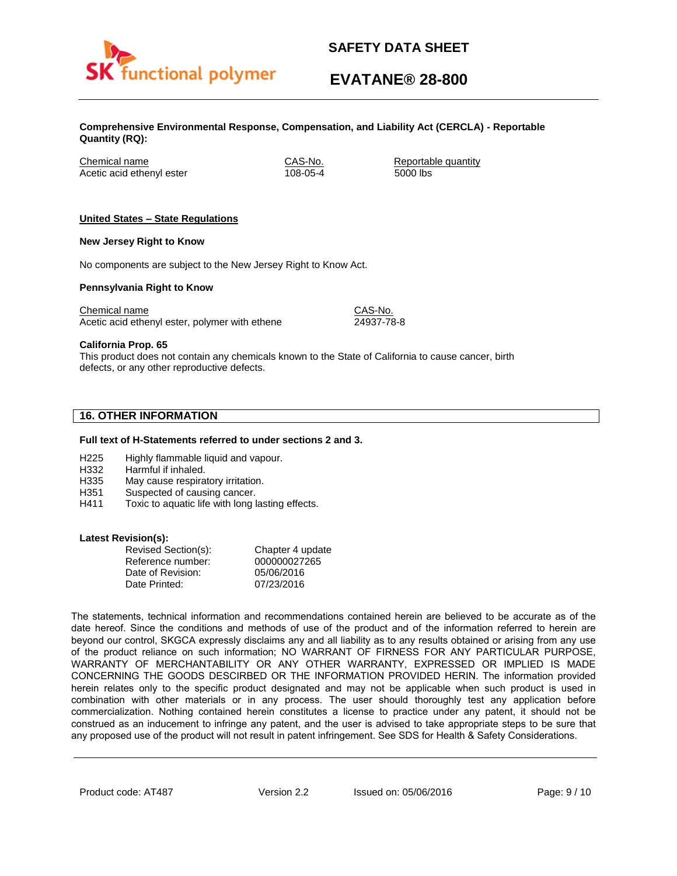

# **EVATANE® 28-800**

**Comprehensive Environmental Response, Compensation, and Liability Act (CERCLA) - Reportable Quantity (RQ):**

Chemical name CAS-No. Reportable quantity Acetic acid ethenyl ester 108-05-4 5000 lbs

### **United States – State Regulations**

### **New Jersey Right to Know**

No components are subject to the New Jersey Right to Know Act.

### **Pennsylvania Right to Know**

Chemical name Chemical name CAS-No. Acetic acid ethenyl ester, polymer with ethene 24937-78-8

**California Prop. 65**

This product does not contain any chemicals known to the State of California to cause cancer, birth defects, or any other reproductive defects.

# **16. OTHER INFORMATION**

### **Full text of H-Statements referred to under sections 2 and 3.**

- H225 Highly flammable liquid and vapour.
- H332 Harmful if inhaled.
- H335 May cause respiratory irritation.
- H351 Suspected of causing cancer.
- H411 Toxic to aquatic life with long lasting effects.

### **Latest Revision(s):**

| Revised Section(s): | Chapter 4 update |
|---------------------|------------------|
| Reference number:   | 000000027265     |
| Date of Revision:   | 05/06/2016       |
| Date Printed:       | 07/23/2016       |

The statements, technical information and recommendations contained herein are believed to be accurate as of the date hereof. Since the conditions and methods of use of the product and of the information referred to herein are beyond our control, SKGCA expressly disclaims any and all liability as to any results obtained or arising from any use of the product reliance on such information; NO WARRANT OF FIRNESS FOR ANY PARTICULAR PURPOSE, WARRANTY OF MERCHANTABILITY OR ANY OTHER WARRANTY, EXPRESSED OR IMPLIED IS MADE CONCERNING THE GOODS DESCIRBED OR THE INFORMATION PROVIDED HERIN. The information provided herein relates only to the specific product designated and may not be applicable when such product is used in combination with other materials or in any process. The user should thoroughly test any application before commercialization. Nothing contained herein constitutes a license to practice under any patent, it should not be construed as an inducement to infringe any patent, and the user is advised to take appropriate steps to be sure that any proposed use of the product will not result in patent infringement. See SDS for Health & Safety Considerations.